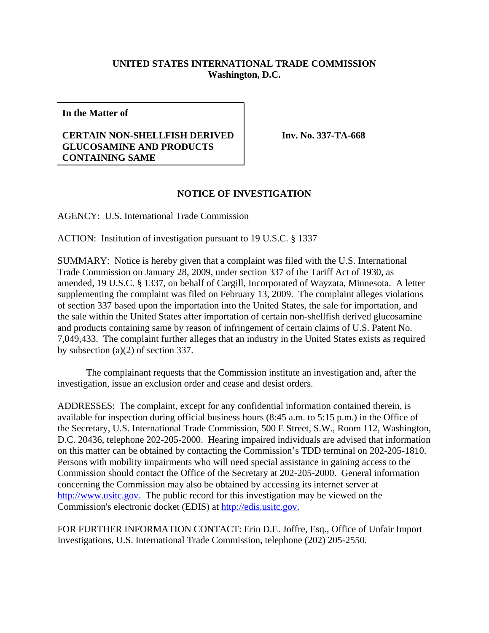## **UNITED STATES INTERNATIONAL TRADE COMMISSION Washington, D.C.**

**In the Matter of**

## **CERTAIN NON-SHELLFISH DERIVED GLUCOSAMINE AND PRODUCTS CONTAINING SAME**

**Inv. No. 337-TA-668**

## **NOTICE OF INVESTIGATION**

AGENCY: U.S. International Trade Commission

ACTION: Institution of investigation pursuant to 19 U.S.C. § 1337

SUMMARY: Notice is hereby given that a complaint was filed with the U.S. International Trade Commission on January 28, 2009, under section 337 of the Tariff Act of 1930, as amended, 19 U.S.C. § 1337, on behalf of Cargill, Incorporated of Wayzata, Minnesota. A letter supplementing the complaint was filed on February 13, 2009. The complaint alleges violations of section 337 based upon the importation into the United States, the sale for importation, and the sale within the United States after importation of certain non-shellfish derived glucosamine and products containing same by reason of infringement of certain claims of U.S. Patent No. 7,049,433. The complaint further alleges that an industry in the United States exists as required by subsection (a)(2) of section 337.

The complainant requests that the Commission institute an investigation and, after the investigation, issue an exclusion order and cease and desist orders.

ADDRESSES: The complaint, except for any confidential information contained therein, is available for inspection during official business hours (8:45 a.m. to 5:15 p.m.) in the Office of the Secretary, U.S. International Trade Commission, 500 E Street, S.W., Room 112, Washington, D.C. 20436, telephone 202-205-2000. Hearing impaired individuals are advised that information on this matter can be obtained by contacting the Commission's TDD terminal on 202-205-1810. Persons with mobility impairments who will need special assistance in gaining access to the Commission should contact the Office of the Secretary at 202-205-2000. General information concerning the Commission may also be obtained by accessing its internet server at http://www.usitc.gov. The public record for this investigation may be viewed on the Commission's electronic docket (EDIS) at http://edis.usitc.gov.

FOR FURTHER INFORMATION CONTACT: Erin D.E. Joffre, Esq., Office of Unfair Import Investigations, U.S. International Trade Commission, telephone (202) 205-2550.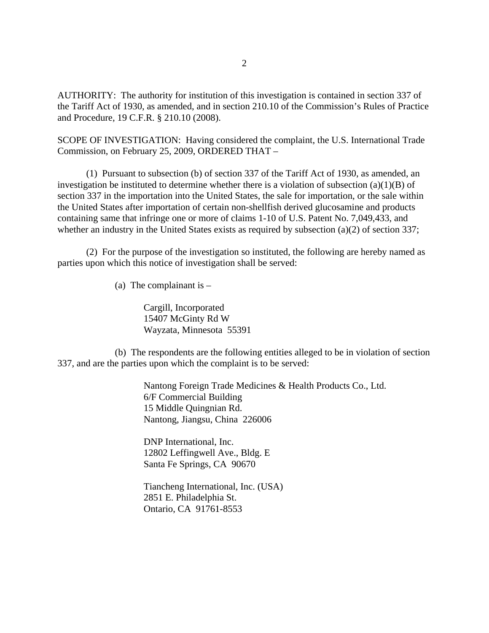AUTHORITY: The authority for institution of this investigation is contained in section 337 of the Tariff Act of 1930, as amended, and in section 210.10 of the Commission's Rules of Practice and Procedure, 19 C.F.R. § 210.10 (2008).

SCOPE OF INVESTIGATION: Having considered the complaint, the U.S. International Trade Commission, on February 25, 2009, ORDERED THAT –

(1) Pursuant to subsection (b) of section 337 of the Tariff Act of 1930, as amended, an investigation be instituted to determine whether there is a violation of subsection (a)(1)(B) of section 337 in the importation into the United States, the sale for importation, or the sale within the United States after importation of certain non-shellfish derived glucosamine and products containing same that infringe one or more of claims 1-10 of U.S. Patent No. 7,049,433, and whether an industry in the United States exists as required by subsection (a)(2) of section 337;

(2) For the purpose of the investigation so instituted, the following are hereby named as parties upon which this notice of investigation shall be served:

(a) The complainant is  $-$ 

Cargill, Incorporated 15407 McGinty Rd W Wayzata, Minnesota 55391

(b) The respondents are the following entities alleged to be in violation of section 337, and are the parties upon which the complaint is to be served:

> Nantong Foreign Trade Medicines & Health Products Co., Ltd. 6/F Commercial Building 15 Middle Quingnian Rd. Nantong, Jiangsu, China 226006

DNP International, Inc. 12802 Leffingwell Ave., Bldg. E Santa Fe Springs, CA 90670

Tiancheng International, Inc. (USA) 2851 E. Philadelphia St. Ontario, CA 91761-8553